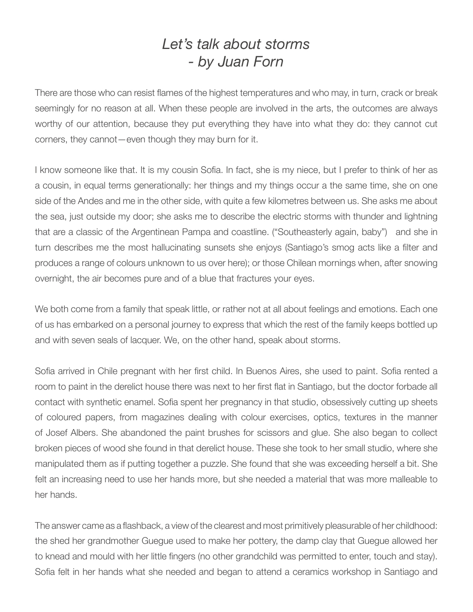## *Let's talk about storms - by Juan Forn*

There are those who can resist flames of the highest temperatures and who may, in turn, crack or break seemingly for no reason at all. When these people are involved in the arts, the outcomes are always worthy of our attention, because they put everything they have into what they do: they cannot cut corners, they cannot—even though they may burn for it.

I know someone like that. It is my cousin Sofia. In fact, she is my niece, but I prefer to think of her as a cousin, in equal terms generationally: her things and my things occur a the same time, she on one side of the Andes and me in the other side, with quite a few kilometres between us. She asks me about the sea, just outside my door; she asks me to describe the electric storms with thunder and lightning that are a classic of the Argentinean Pampa and coastline. ("Southeasterly again, baby") and she in turn describes me the most hallucinating sunsets she enjoys (Santiago's smog acts like a filter and produces a range of colours unknown to us over here); or those Chilean mornings when, after snowing overnight, the air becomes pure and of a blue that fractures your eyes.

We both come from a family that speak little, or rather not at all about feelings and emotions. Each one of us has embarked on a personal journey to express that which the rest of the family keeps bottled up and with seven seals of lacquer. We, on the other hand, speak about storms.

Sofia arrived in Chile pregnant with her first child. In Buenos Aires, she used to paint. Sofia rented a room to paint in the derelict house there was next to her first flat in Santiago, but the doctor forbade all contact with synthetic enamel. Sofia spent her pregnancy in that studio, obsessively cutting up sheets of coloured papers, from magazines dealing with colour exercises, optics, textures in the manner of Josef Albers. She abandoned the paint brushes for scissors and glue. She also began to collect broken pieces of wood she found in that derelict house. These she took to her small studio, where she manipulated them as if putting together a puzzle. She found that she was exceeding herself a bit. She felt an increasing need to use her hands more, but she needed a material that was more malleable to her hands.

The answer came as a flashback, a view of the clearest and most primitively pleasurable of her childhood: the shed her grandmother Guegue used to make her pottery, the damp clay that Guegue allowed her to knead and mould with her little fingers (no other grandchild was permitted to enter, touch and stay). Sofia felt in her hands what she needed and began to attend a ceramics workshop in Santiago and